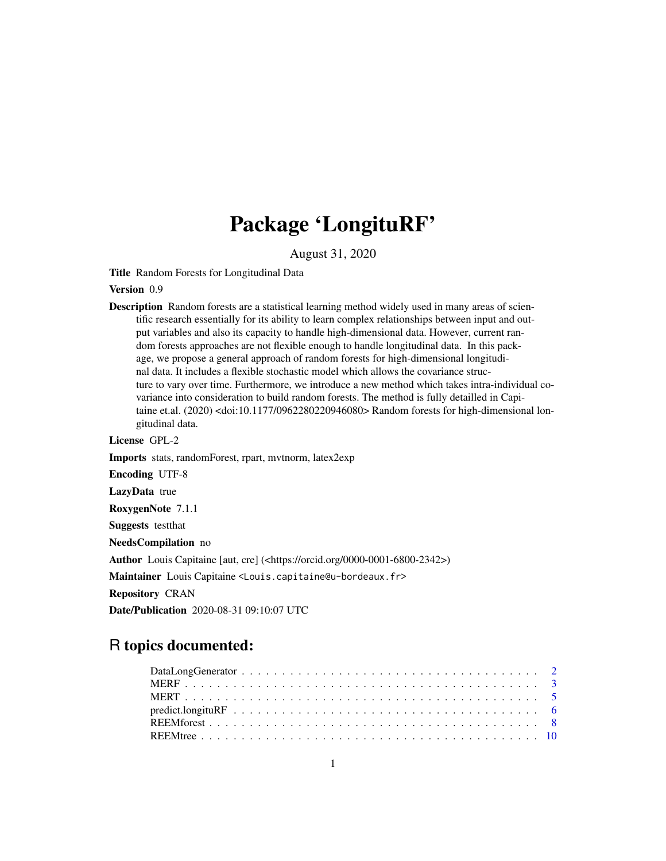## Package 'LongituRF'

August 31, 2020

Title Random Forests for Longitudinal Data

Version 0.9

Description Random forests are a statistical learning method widely used in many areas of scientific research essentially for its ability to learn complex relationships between input and output variables and also its capacity to handle high-dimensional data. However, current random forests approaches are not flexible enough to handle longitudinal data. In this package, we propose a general approach of random forests for high-dimensional longitudinal data. It includes a flexible stochastic model which allows the covariance structure to vary over time. Furthermore, we introduce a new method which takes intra-individual covariance into consideration to build random forests. The method is fully detailled in Capitaine et.al. (2020) <doi:10.1177/0962280220946080> Random forests for high-dimensional longitudinal data.

License GPL-2

Imports stats, randomForest, rpart, mvtnorm, latex2exp Encoding UTF-8 LazyData true RoxygenNote 7.1.1 Suggests testthat NeedsCompilation no Author Louis Capitaine [aut, cre] (<https://orcid.org/0000-0001-6800-2342>) Maintainer Louis Capitaine <Louis.capitaine@u-bordeaux.fr> Repository CRAN

R topics documented:

Date/Publication 2020-08-31 09:10:07 UTC

## DataLongGenerator . . . . . . . . . . . . . . . . . . . . . . . . . . . . . . . . . . . . . [2](#page-1-0) MERF . . . . . . . . . . . . . . . . . . . . . . . . . . . . . . . . . . . . . . . . . . . . [3](#page-2-0) MERT . . . . . . . . . . . . . . . . . . . . . . . . . . . . . . . . . . . . . . . . . . . . [5](#page-4-0) predict.longituRF . . . . . . . . . . . . . . . . . . . . . . . . . . . . . . . . . . . . . . [6](#page-5-0) REEMforest . . . . . . . . . . . . . . . . . . . . . . . . . . . . . . . . . . . . . . . . . [8](#page-7-0) REEMtree . . . . . . . . . . . . . . . . . . . . . . . . . . . . . . . . . . . . . . . . . . [10](#page-9-0)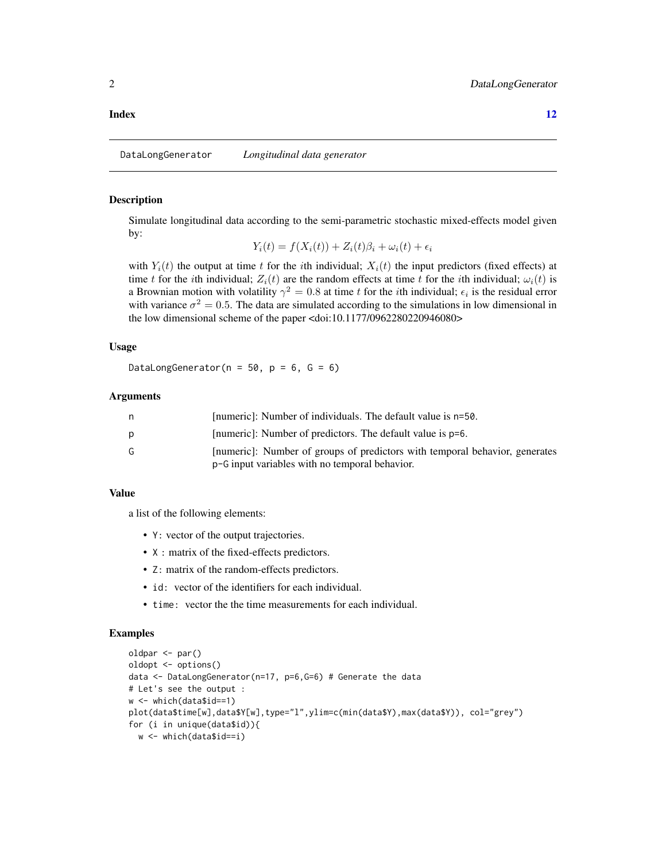#### <span id="page-1-0"></span>**Index** [12](#page-11-0)

DataLongGenerator *Longitudinal data generator*

#### **Description**

Simulate longitudinal data according to the semi-parametric stochastic mixed-effects model given by:

$$
Y_i(t) = f(X_i(t)) + Z_i(t)\beta_i + \omega_i(t) + \epsilon_i
$$

with  $Y_i(t)$  the output at time t for the ith individual;  $X_i(t)$  the input predictors (fixed effects) at time t for the ith individual;  $Z_i(t)$  are the random effects at time t for the ith individual;  $\omega_i(t)$  is a Brownian motion with volatility  $\gamma^2 = 0.8$  at time t for the ith individual;  $\epsilon_i$  is the residual error with variance  $\sigma^2 = 0.5$ . The data are simulated according to the simulations in low dimensional in the low dimensional scheme of the paper <doi:10.1177/0962280220946080>

#### Usage

DataLongGenerator( $n = 50$ ,  $p = 6$ ,  $G = 6$ )

#### Arguments

| n  | [numeric]: Number of individuals. The default value is n=50.                                                                  |
|----|-------------------------------------------------------------------------------------------------------------------------------|
|    | [numeric]: Number of predictors. The default value is p=6.                                                                    |
| G. | [numeric]: Number of groups of predictors with temporal behavior, generates<br>p-G input variables with no temporal behavior. |

#### Value

a list of the following elements:

- Y: vector of the output trajectories.
- X : matrix of the fixed-effects predictors.
- Z: matrix of the random-effects predictors.
- id: vector of the identifiers for each individual.
- time: vector the the time measurements for each individual.

#### Examples

```
oldpar <- par()
oldopt <- options()
data <- DataLongGenerator(n=17, p=6,G=6) # Generate the data
# Let's see the output :
w <- which(data$id==1)
plot(data$time[w],data$Y[w],type="l",ylim=c(min(data$Y),max(data$Y)), col="grey")
for (i in unique(data$id)){
 w <- which(data$id==i)
```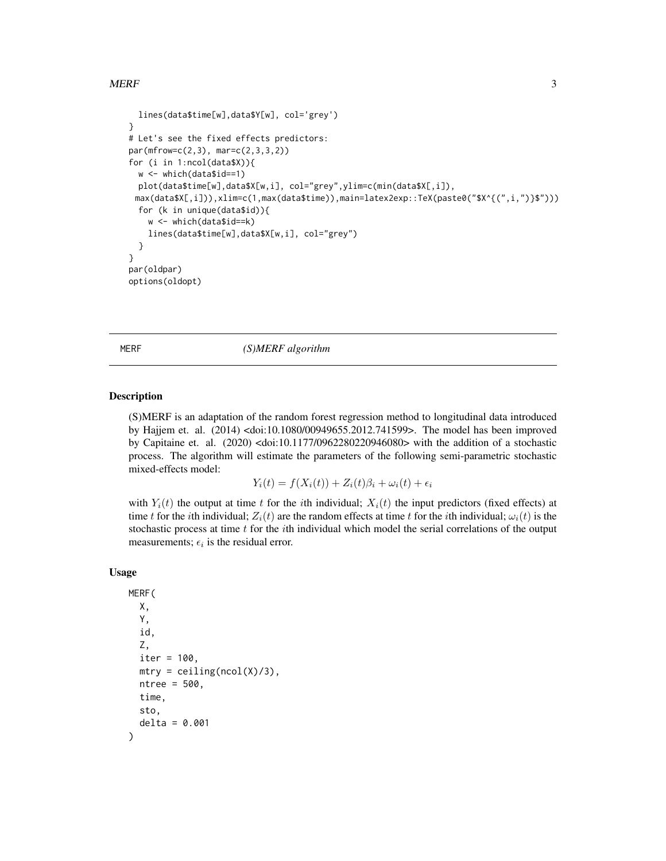#### <span id="page-2-0"></span> $MERF$  3

```
lines(data$time[w],data$Y[w], col='grey')
}
# Let's see the fixed effects predictors:
par(mfrow=c(2,3), mar=c(2,3,3,2))
for (i in 1:ncol(data$X)){
 w <- which(data$id==1)
 plot(data$time[w],data$X[w,i], col="grey",ylim=c(min(data$X[,i]),
 max(data$X[,i])),xlim=c(1,max(data$time)),main=latex2exp::TeX(paste0("$X^{(",i,")}$")))
 for (k in unique(data$id)){
    w <- which(data$id==k)
    lines(data$time[w],data$X[w,i], col="grey")
 }
}
par(oldpar)
options(oldopt)
```
MERF *(S)MERF algorithm*

#### Description

(S)MERF is an adaptation of the random forest regression method to longitudinal data introduced by Hajjem et. al. (2014) <doi:10.1080/00949655.2012.741599>. The model has been improved by Capitaine et. al. (2020) <doi:10.1177/0962280220946080> with the addition of a stochastic process. The algorithm will estimate the parameters of the following semi-parametric stochastic mixed-effects model:

$$
Y_i(t) = f(X_i(t)) + Z_i(t)\beta_i + \omega_i(t) + \epsilon_i
$$

with  $Y_i(t)$  the output at time t for the ith individual;  $X_i(t)$  the input predictors (fixed effects) at time t for the *i*th individual;  $Z_i(t)$  are the random effects at time t for the *i*th individual;  $\omega_i(t)$  is the stochastic process at time  $t$  for the  $i$ th individual which model the serial correlations of the output measurements;  $\epsilon_i$  is the residual error.

#### Usage

```
MERF(
 X,
  Y,
  id,
  Z,
  iter = 100,
 mtry = ceiling(ncol(X)/3),
 ntree = 500.
  time,
  sto,
  delta = 0.001
)
```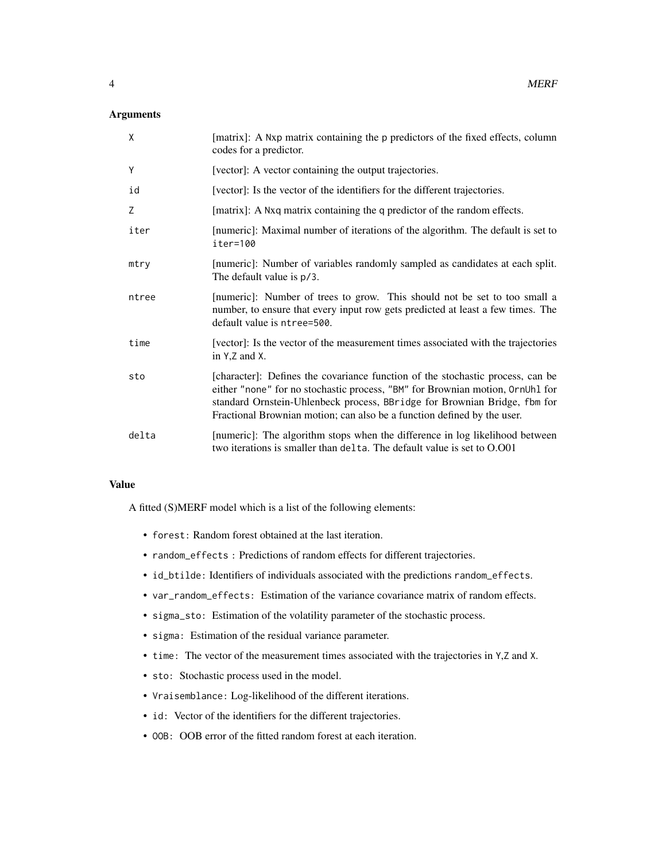#### Arguments

| X     | [matrix]: A Nxp matrix containing the p predictors of the fixed effects, column<br>codes for a predictor.                                                                                                                                                                                                               |
|-------|-------------------------------------------------------------------------------------------------------------------------------------------------------------------------------------------------------------------------------------------------------------------------------------------------------------------------|
| Y     | [vector]: A vector containing the output trajectories.                                                                                                                                                                                                                                                                  |
| id    | [vector]: Is the vector of the identifiers for the different trajectories.                                                                                                                                                                                                                                              |
| Z     | [matrix]: A Nxq matrix containing the q predictor of the random effects.                                                                                                                                                                                                                                                |
| iter  | [numeric]: Maximal number of iterations of the algorithm. The default is set to<br>iter=100                                                                                                                                                                                                                             |
| mtry  | [numeric]: Number of variables randomly sampled as candidates at each split.<br>The default value is p/3.                                                                                                                                                                                                               |
| ntree | [numeric]: Number of trees to grow. This should not be set to too small a<br>number, to ensure that every input row gets predicted at least a few times. The<br>default value is ntree=500.                                                                                                                             |
| time  | [vector]: Is the vector of the measurement times associated with the trajectories<br>in $Y$ , $Z$ and $X$ .                                                                                                                                                                                                             |
| sto   | [character]: Defines the covariance function of the stochastic process, can be<br>either "none" for no stochastic process, "BM" for Brownian motion, OrnUhl for<br>standard Ornstein-Uhlenbeck process, BBridge for Brownian Bridge, fbm for<br>Fractional Brownian motion; can also be a function defined by the user. |
| delta | [numeric]: The algorithm stops when the difference in log likelihood between<br>two iterations is smaller than delta. The default value is set to O.O01                                                                                                                                                                 |

#### Value

A fitted (S)MERF model which is a list of the following elements:

- forest: Random forest obtained at the last iteration.
- random\_effects : Predictions of random effects for different trajectories.
- id\_btilde: Identifiers of individuals associated with the predictions random\_effects.
- var\_random\_effects: Estimation of the variance covariance matrix of random effects.
- sigma\_sto: Estimation of the volatility parameter of the stochastic process.
- sigma: Estimation of the residual variance parameter.
- time: The vector of the measurement times associated with the trajectories in Y,Z and X.
- sto: Stochastic process used in the model.
- Vraisemblance: Log-likelihood of the different iterations.
- id: Vector of the identifiers for the different trajectories.
- OOB: OOB error of the fitted random forest at each iteration.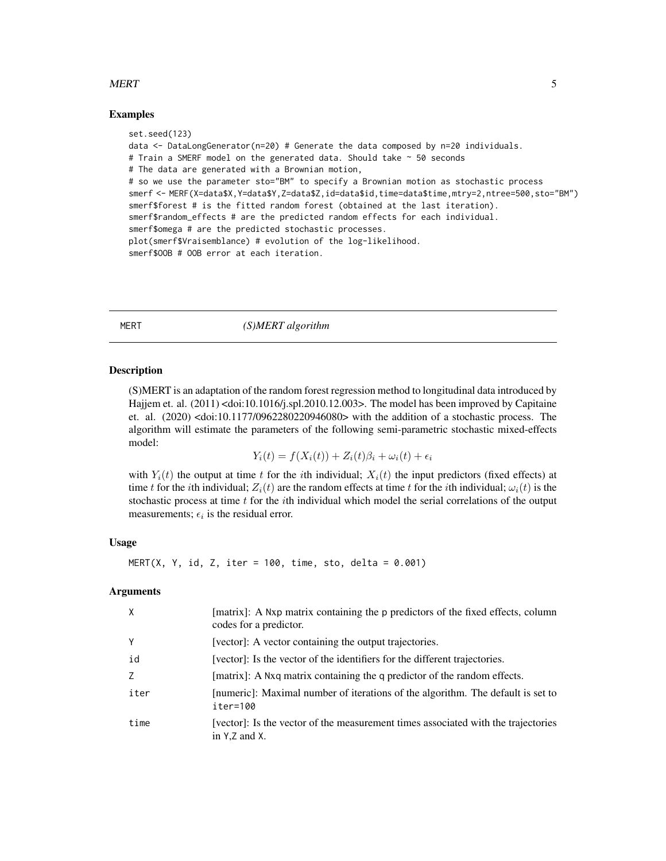#### <span id="page-4-0"></span>MERT 5

#### Examples

set.seed(123) data <- DataLongGenerator(n=20) # Generate the data composed by n=20 individuals. # Train a SMERF model on the generated data. Should take ~ 50 seconds # The data are generated with a Brownian motion, # so we use the parameter sto="BM" to specify a Brownian motion as stochastic process smerf <- MERF(X=data\$X,Y=data\$Y,Z=data\$Z,id=data\$id,time=data\$time,mtry=2,ntree=500,sto="BM") smerf\$forest # is the fitted random forest (obtained at the last iteration). smerf\$random\_effects # are the predicted random effects for each individual. smerf\$omega # are the predicted stochastic processes. plot(smerf\$Vraisemblance) # evolution of the log-likelihood. smerf\$OOB # OOB error at each iteration.

#### MERT *(S)MERT algorithm*

#### Description

(S)MERT is an adaptation of the random forest regression method to longitudinal data introduced by Hajjem et. al. (2011) <doi:10.1016/j.spl.2010.12.003>. The model has been improved by Capitaine et. al. (2020) <doi:10.1177/0962280220946080> with the addition of a stochastic process. The algorithm will estimate the parameters of the following semi-parametric stochastic mixed-effects model:

$$
Y_i(t) = f(X_i(t)) + Z_i(t)\beta_i + \omega_i(t) + \epsilon_i
$$

with  $Y_i(t)$  the output at time t for the ith individual;  $X_i(t)$  the input predictors (fixed effects) at time t for the *i*th individual;  $Z_i(t)$  are the random effects at time t for the *i*th individual;  $\omega_i(t)$  is the stochastic process at time  $t$  for the *i*th individual which model the serial correlations of the output measurements;  $\epsilon_i$  is the residual error.

#### Usage

MERT(X, Y, id, Z, iter =  $100$ , time, sto, delta =  $0.001$ )

#### Arguments

| X    | [matrix]: A Nxp matrix containing the p predictors of the fixed effects, column<br>codes for a predictor.   |
|------|-------------------------------------------------------------------------------------------------------------|
| Υ    | [vector]: A vector containing the output trajectories.                                                      |
| id   | [vector]: Is the vector of the identifiers for the different trajectories.                                  |
|      | [matrix]: A Nxq matrix containing the q predictor of the random effects.                                    |
| iter | [numeric]: Maximal number of iterations of the algorithm. The default is set to<br>iter=100                 |
| time | [vector]: Is the vector of the measurement times associated with the trajectories<br>in $Y$ , $Z$ and $X$ . |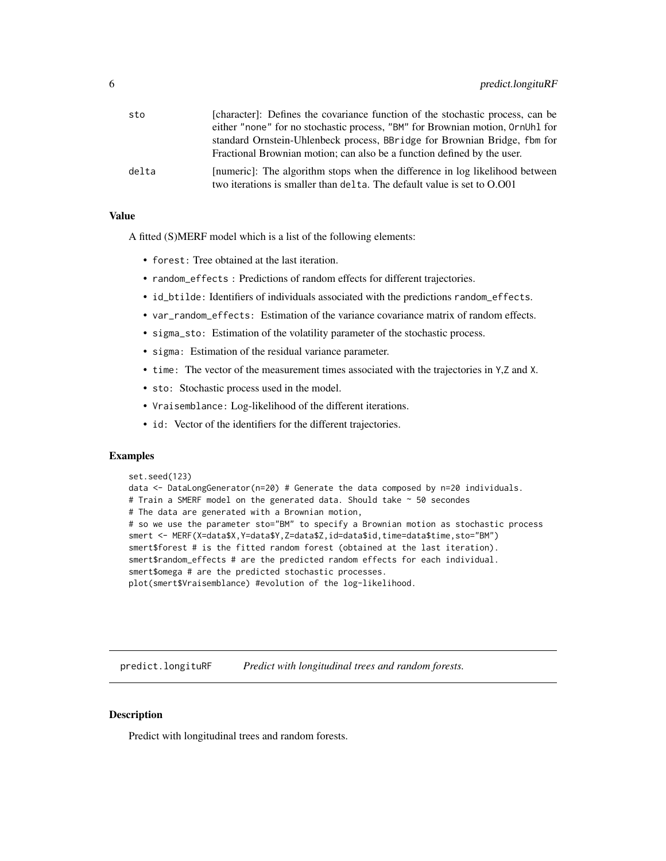<span id="page-5-0"></span>

| sto   | [character]: Defines the covariance function of the stochastic process, can be |
|-------|--------------------------------------------------------------------------------|
|       | either "none" for no stochastic process, "BM" for Brownian motion, OrnUhl for  |
|       | standard Ornstein-Uhlenbeck process, BBridge for Brownian Bridge, fbm for      |
|       | Fractional Brownian motion; can also be a function defined by the user.        |
| delta | [numeric]: The algorithm stops when the difference in log likelihood between   |
|       | two iterations is smaller than delta. The default value is set to O.001        |

#### Value

A fitted (S)MERF model which is a list of the following elements:

- forest: Tree obtained at the last iteration.
- random\_effects : Predictions of random effects for different trajectories.
- id\_btilde: Identifiers of individuals associated with the predictions random\_effects.
- var\_random\_effects: Estimation of the variance covariance matrix of random effects.
- sigma\_sto: Estimation of the volatility parameter of the stochastic process.
- sigma: Estimation of the residual variance parameter.
- time: The vector of the measurement times associated with the trajectories in Y,Z and X.
- sto: Stochastic process used in the model.
- Vraisemblance: Log-likelihood of the different iterations.
- id: Vector of the identifiers for the different trajectories.

#### Examples

```
set.seed(123)
data \le DataLongGenerator(n=20) # Generate the data composed by n=20 individuals.
# Train a SMERF model on the generated data. Should take \sim 50 secondes
# The data are generated with a Brownian motion,
# so we use the parameter sto="BM" to specify a Brownian motion as stochastic process
smert <- MERF(X=data$X,Y=data$Y,Z=data$Z,id=data$id,time=data$time,sto="BM")
smert$forest # is the fitted random forest (obtained at the last iteration).
smert$random_effects # are the predicted random effects for each individual.
smert$omega # are the predicted stochastic processes.
plot(smert$Vraisemblance) #evolution of the log-likelihood.
```
predict.longituRF *Predict with longitudinal trees and random forests.*

#### **Description**

Predict with longitudinal trees and random forests.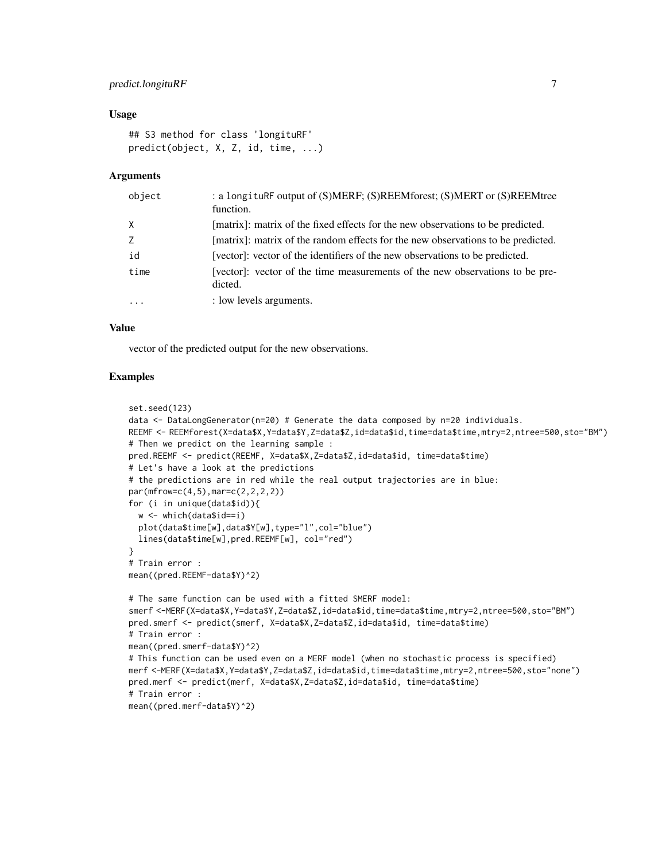#### predict.longituRF 7

#### Usage

```
## S3 method for class 'longituRF'
predict(object, X, Z, id, time, ...)
```
#### Arguments

| object   | : a longituRF output of (S)MERF; (S)REEMforest; (S)MERT or (S)REEMtree<br>function.     |
|----------|-----------------------------------------------------------------------------------------|
| $\times$ | [matrix]: matrix of the fixed effects for the new observations to be predicted.         |
| Z        | [matrix]: matrix of the random effects for the new observations to be predicted.        |
| id       | [vector]: vector of the identifiers of the new observations to be predicted.            |
| time     | [vector]: vector of the time measurements of the new observations to be pre-<br>dicted. |
| $\ddots$ | : low levels arguments.                                                                 |

#### Value

vector of the predicted output for the new observations.

#### Examples

```
set.seed(123)
data <- DataLongGenerator(n=20) # Generate the data composed by n=20 individuals.
REEMF <- REEMforest(X=data$X,Y=data$Y,Z=data$Z,id=data$id,time=data$time,mtry=2,ntree=500,sto="BM")
# Then we predict on the learning sample :
pred.REEMF <- predict(REEMF, X=data$X,Z=data$Z,id=data$id, time=data$time)
# Let's have a look at the predictions
# the predictions are in red while the real output trajectories are in blue:
par(mfrow=c(4,5),mar=c(2,2,2,2))
for (i in unique(data$id)){
  w <- which(data$id==i)
  plot(data$time[w],data$Y[w],type="l",col="blue")
  lines(data$time[w],pred.REEMF[w], col="red")
}
# Train error :
mean((pred.REEMF-data$Y)^2)
# The same function can be used with a fitted SMERF model:
smerf <-MERF(X=data$X,Y=data$Y,Z=data$Z,id=data$id,time=data$time,mtry=2,ntree=500,sto="BM")
pred.smerf <- predict(smerf, X=data$X,Z=data$Z,id=data$id, time=data$time)
# Train error :
mean((pred.smerf-data$Y)^2)
# This function can be used even on a MERF model (when no stochastic process is specified)
merf <-MERF(X=data$X,Y=data$Y,Z=data$Z,id=data$id,time=data$time,mtry=2,ntree=500,sto="none")
pred.merf <- predict(merf, X=data$X,Z=data$Z,id=data$id, time=data$time)
# Train error :
mean((pred.merf-data$Y)^2)
```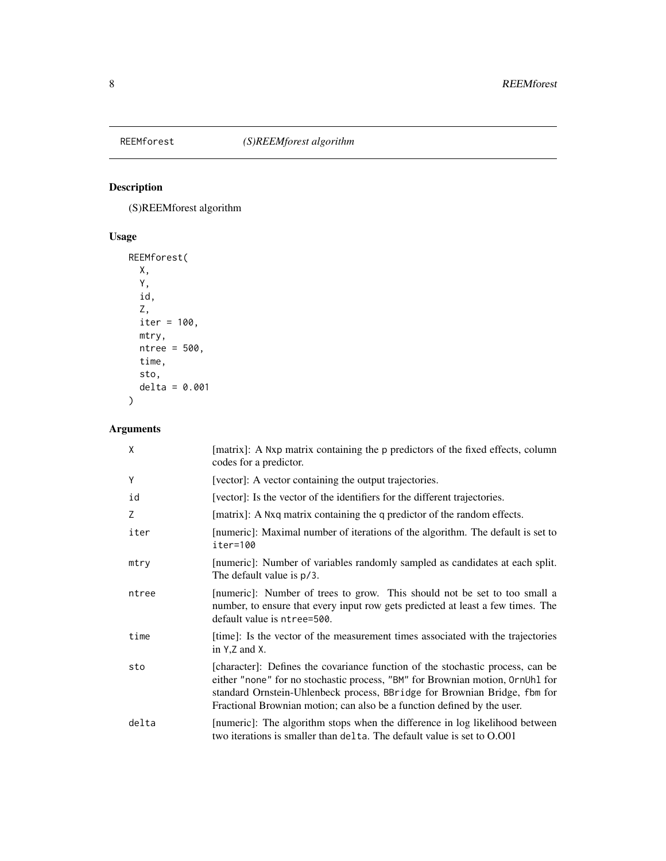<span id="page-7-0"></span>

#### Description

(S)REEMforest algorithm

### Usage

```
REEMforest(
 X,
 Y,
 id,
 Z,
 iter = 100,
 mtry,
 ntree = 500,
 time,
 sto,
 delta = 0.001
)
```
#### Arguments

| X     | [matrix]: A Nxp matrix containing the p predictors of the fixed effects, column<br>codes for a predictor.                                                                                                                                                                                                               |
|-------|-------------------------------------------------------------------------------------------------------------------------------------------------------------------------------------------------------------------------------------------------------------------------------------------------------------------------|
| Y     | [vector]: A vector containing the output trajectories.                                                                                                                                                                                                                                                                  |
| id    | [vector]: Is the vector of the identifiers for the different trajectories.                                                                                                                                                                                                                                              |
| Ζ     | [matrix]: A Nxq matrix containing the q predictor of the random effects.                                                                                                                                                                                                                                                |
| iter  | [numeric]: Maximal number of iterations of the algorithm. The default is set to<br>iter=100                                                                                                                                                                                                                             |
| mtry  | [numeric]: Number of variables randomly sampled as candidates at each split.<br>The default value is p/3.                                                                                                                                                                                                               |
| ntree | [numeric]: Number of trees to grow. This should not be set to too small a<br>number, to ensure that every input row gets predicted at least a few times. The<br>default value is ntree=500.                                                                                                                             |
| time  | [time]: Is the vector of the measurement times associated with the trajectories<br>in Y,Z and X.                                                                                                                                                                                                                        |
| sto   | [character]: Defines the covariance function of the stochastic process, can be<br>either "none" for no stochastic process, "BM" for Brownian motion, OrnUhl for<br>standard Ornstein-Uhlenbeck process, BBridge for Brownian Bridge, fbm for<br>Fractional Brownian motion; can also be a function defined by the user. |
| delta | [numeric]: The algorithm stops when the difference in log likelihood between<br>two iterations is smaller than delta. The default value is set to O.O01                                                                                                                                                                 |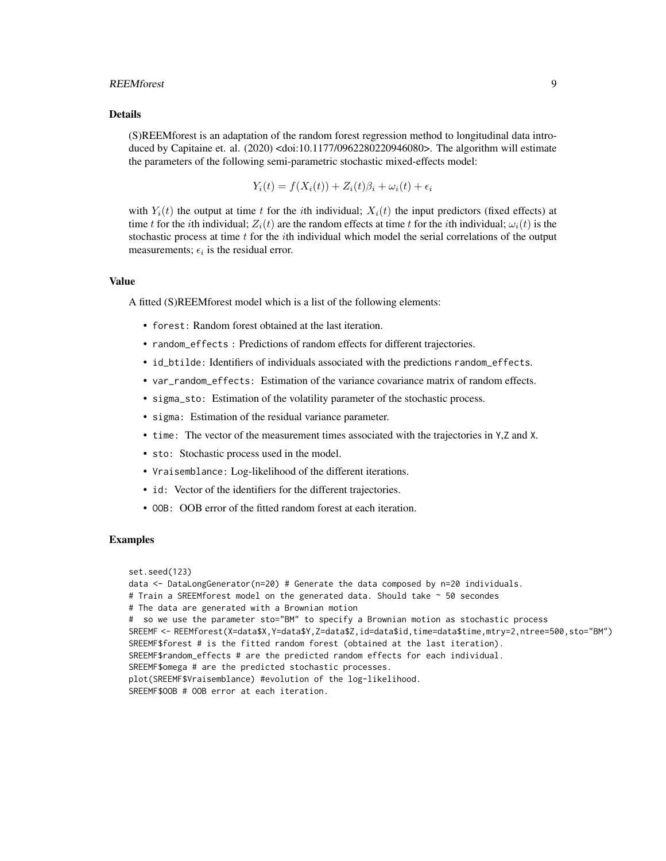#### REEMforest 99

#### Details

(S)REEMforest is an adaptation of the random forest regression method to longitudinal data introduced by Capitaine et. al. (2020) <doi:10.1177/0962280220946080>. The algorithm will estimate the parameters of the following semi-parametric stochastic mixed-effects model:

$$
Y_i(t) = f(X_i(t)) + Z_i(t)\beta_i + \omega_i(t) + \epsilon_i
$$

with  $Y_i(t)$  the output at time t for the ith individual;  $X_i(t)$  the input predictors (fixed effects) at time t for the *i*th individual;  $Z_i(t)$  are the random effects at time t for the *i*th individual;  $\omega_i(t)$  is the stochastic process at time  $t$  for the *i*th individual which model the serial correlations of the output measurements;  $\epsilon_i$  is the residual error.

#### Value

A fitted (S)REEMforest model which is a list of the following elements:

- forest: Random forest obtained at the last iteration.
- random\_effects : Predictions of random effects for different trajectories.
- id\_btilde: Identifiers of individuals associated with the predictions random\_effects.
- var\_random\_effects: Estimation of the variance covariance matrix of random effects.
- sigma\_sto: Estimation of the volatility parameter of the stochastic process.
- sigma: Estimation of the residual variance parameter.
- time: The vector of the measurement times associated with the trajectories in Y,Z and X.
- sto: Stochastic process used in the model.
- Vraisemblance: Log-likelihood of the different iterations.
- id: Vector of the identifiers for the different trajectories.
- OOB: OOB error of the fitted random forest at each iteration.

#### Examples

set.seed(123)

```
data \le DataLongGenerator(n=20) # Generate the data composed by n=20 individuals.
# Train a SREEMforest model on the generated data. Should take ~ 50 secondes
# The data are generated with a Brownian motion
# so we use the parameter sto="BM" to specify a Brownian motion as stochastic process
SREEMF <- REEMforest(X=data$X,Y=data$Y,Z=data$Z,id=data$id,time=data$time,mtry=2,ntree=500,sto="BM")
SREEMF$forest # is the fitted random forest (obtained at the last iteration).
SREEMF$random_effects # are the predicted random effects for each individual.
SREEMF$omega # are the predicted stochastic processes.
plot(SREEMF$Vraisemblance) #evolution of the log-likelihood.
SREEMF$OOB # OOB error at each iteration.
```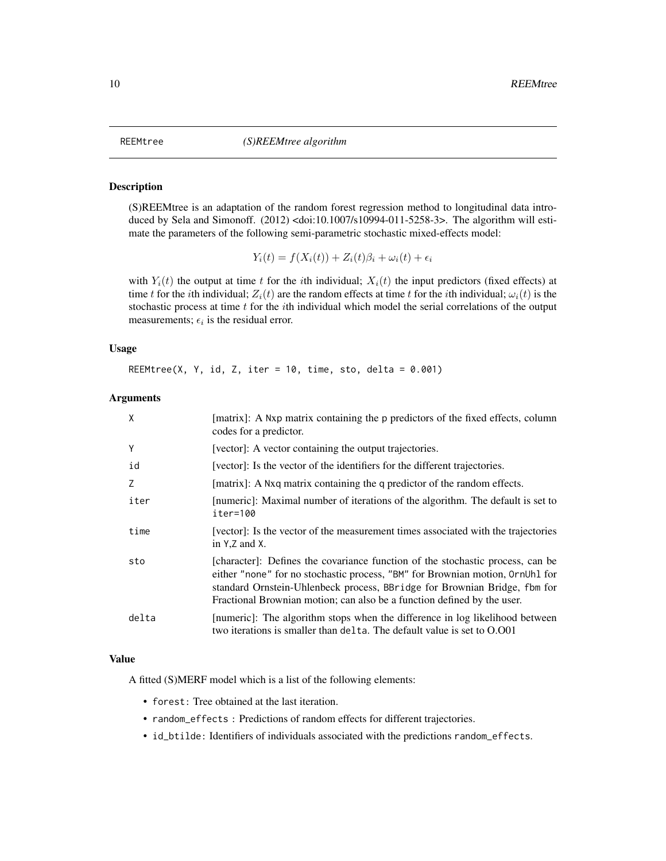<span id="page-9-0"></span>

#### Description

(S)REEMtree is an adaptation of the random forest regression method to longitudinal data introduced by Sela and Simonoff. (2012) <doi:10.1007/s10994-011-5258-3>. The algorithm will estimate the parameters of the following semi-parametric stochastic mixed-effects model:

$$
Y_i(t) = f(X_i(t)) + Z_i(t)\beta_i + \omega_i(t) + \epsilon_i
$$

with  $Y_i(t)$  the output at time t for the ith individual;  $X_i(t)$  the input predictors (fixed effects) at time t for the *i*th individual;  $Z_i(t)$  are the random effects at time t for the *i*th individual;  $\omega_i(t)$  is the stochastic process at time  $t$  for the *i*th individual which model the serial correlations of the output measurements;  $\epsilon_i$  is the residual error.

#### Usage

REEMtree(X, Y, id, Z, iter =  $10$ , time, sto, delta =  $0.001$ )

#### Arguments

| X     | [matrix]: A Nxp matrix containing the p predictors of the fixed effects, column<br>codes for a predictor.                                                                                                                                                                                                               |
|-------|-------------------------------------------------------------------------------------------------------------------------------------------------------------------------------------------------------------------------------------------------------------------------------------------------------------------------|
| Y     | [vector]: A vector containing the output trajectories.                                                                                                                                                                                                                                                                  |
| id    | [vector]: Is the vector of the identifiers for the different trajectories.                                                                                                                                                                                                                                              |
| Z     | [matrix]: A Nxq matrix containing the q predictor of the random effects.                                                                                                                                                                                                                                                |
| iter  | [numeric]: Maximal number of iterations of the algorithm. The default is set to<br>iter=100                                                                                                                                                                                                                             |
| time  | [vector]: Is the vector of the measurement times associated with the trajectories<br>in Y.Z and X.                                                                                                                                                                                                                      |
| sto   | [character]: Defines the covariance function of the stochastic process, can be<br>either "none" for no stochastic process, "BM" for Brownian motion, OrnUhl for<br>standard Ornstein-Uhlenbeck process, BBridge for Brownian Bridge, fbm for<br>Fractional Brownian motion; can also be a function defined by the user. |
| delta | [numeric]: The algorithm stops when the difference in log likelihood between<br>two iterations is smaller than delta. The default value is set to O.001                                                                                                                                                                 |

#### Value

A fitted (S)MERF model which is a list of the following elements:

- forest: Tree obtained at the last iteration.
- random\_effects : Predictions of random effects for different trajectories.
- id\_btilde: Identifiers of individuals associated with the predictions random\_effects.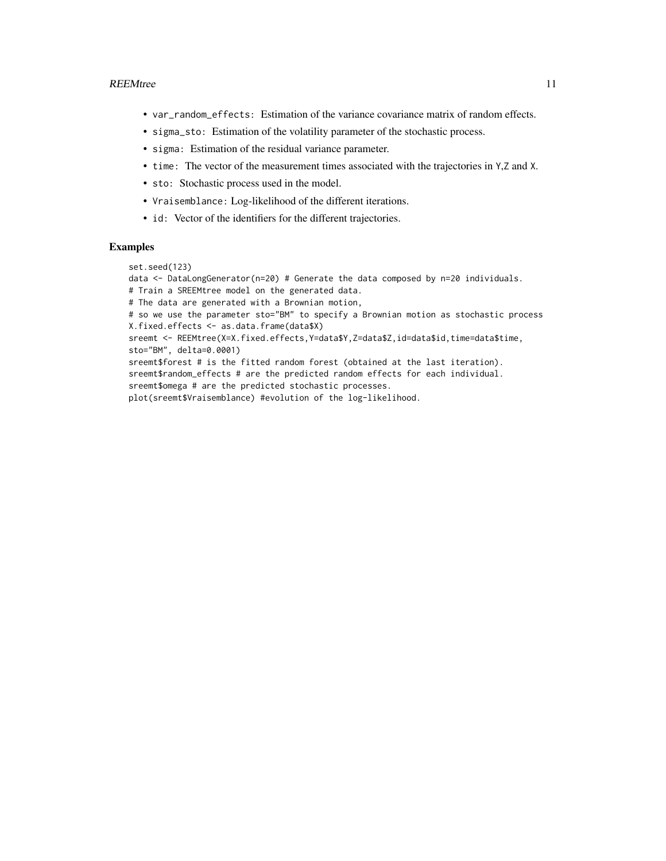- var\_random\_effects: Estimation of the variance covariance matrix of random effects.
- sigma\_sto: Estimation of the volatility parameter of the stochastic process.
- sigma: Estimation of the residual variance parameter.
- time: The vector of the measurement times associated with the trajectories in Y,Z and X.
- sto: Stochastic process used in the model.
- Vraisemblance: Log-likelihood of the different iterations.
- id: Vector of the identifiers for the different trajectories.

#### Examples

```
set.seed(123)
```
data <- DataLongGenerator(n=20) # Generate the data composed by n=20 individuals.

```
# Train a SREEMtree model on the generated data.
```
# The data are generated with a Brownian motion,

```
# so we use the parameter sto="BM" to specify a Brownian motion as stochastic process
X.fixed.effects <- as.data.frame(data$X)
```
sreemt <- REEMtree(X=X.fixed.effects,Y=data\$Y,Z=data\$Z,id=data\$id,time=data\$time, sto="BM", delta=0.0001)

sreemt\$forest # is the fitted random forest (obtained at the last iteration).

sreemt\$random\_effects # are the predicted random effects for each individual.

sreemt\$omega # are the predicted stochastic processes.

plot(sreemt\$Vraisemblance) #evolution of the log-likelihood.